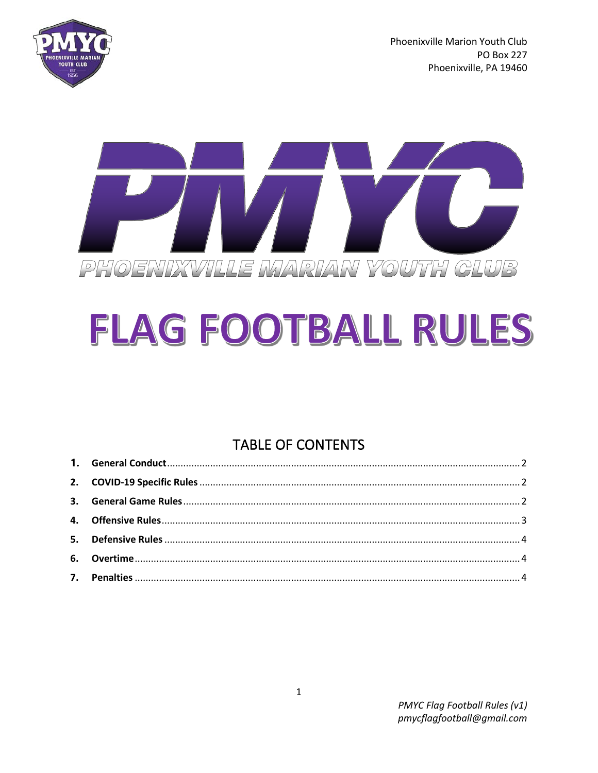

Phoenixville Marion Youth Club **PO Box 227** Phoenixville, PA 19460



# FLAG FOOTBALL RULES

## **TABLE OF CONTENTS**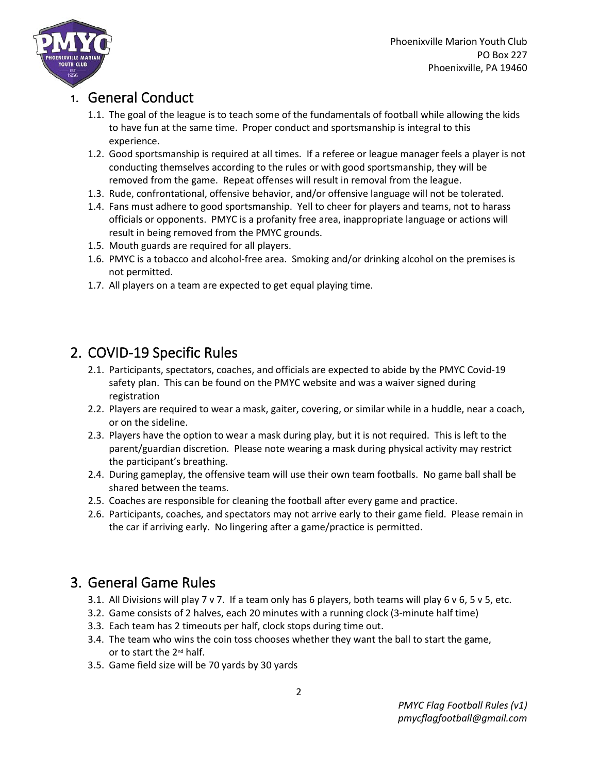

#### <span id="page-1-0"></span>**1.** General Conduct

- 1.1. The goal of the league is to teach some of the fundamentals of football while allowing the kids to have fun at the same time. Proper conduct and sportsmanship is integral to this experience.
- 1.2. Good sportsmanship is required at all times. If a referee or league manager feels a player is not conducting themselves according to the rules or with good sportsmanship, they will be removed from the game. Repeat offenses will result in removal from the league.
- 1.3. Rude, confrontational, offensive behavior, and/or offensive language will not be tolerated.
- 1.4. Fans must adhere to good sportsmanship. Yell to cheer for players and teams, not to harass officials or opponents. PMYC is a profanity free area, inappropriate language or actions will result in being removed from the PMYC grounds.
- 1.5. Mouth guards are required for all players.
- 1.6. PMYC is a tobacco and alcohol-free area. Smoking and/or drinking alcohol on the premises is not permitted.
- 1.7. All players on a team are expected to get equal playing time.

## <span id="page-1-1"></span>2. COVID-19 Specific Rules

- 2.1. Participants, spectators, coaches, and officials are expected to abide by the PMYC Covid-19 safety plan. This can be found on the PMYC website and was a waiver signed during registration
- 2.2. Players are required to wear a mask, gaiter, covering, or similar while in a huddle, near a coach, or on the sideline.
- 2.3. Players have the option to wear a mask during play, but it is not required. This is left to the parent/guardian discretion. Please note wearing a mask during physical activity may restrict the participant's breathing.
- 2.4. During gameplay, the offensive team will use their own team footballs. No game ball shall be shared between the teams.
- 2.5. Coaches are responsible for cleaning the football after every game and practice.
- 2.6. Participants, coaches, and spectators may not arrive early to their game field. Please remain in the car if arriving early. No lingering after a game/practice is permitted.

## <span id="page-1-2"></span>3. General Game Rules

- 3.1. All Divisions will play 7 v 7. If a team only has 6 players, both teams will play 6 v 6, 5 v 5, etc.
- 3.2. Game consists of 2 halves, each 20 minutes with a running clock (3-minute half time)
- 3.3. Each team has 2 timeouts per half, clock stops during time out.
- 3.4. The team who wins the coin toss chooses whether they want the ball to start the game, or to start the 2nd half.
- 3.5. Game field size will be 70 yards by 30 yards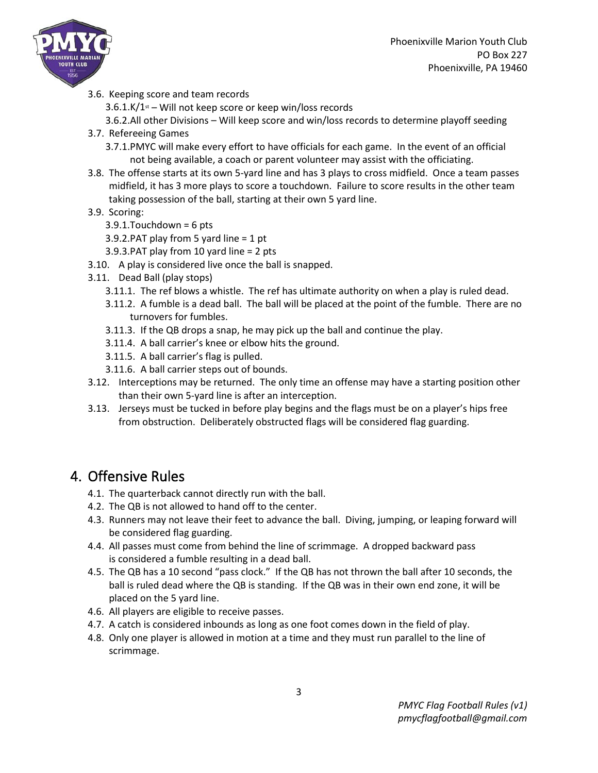

3.6. Keeping score and team records

 $3.6.1$ .K/ $1$ <sup>st</sup> – Will not keep score or keep win/loss records

3.6.2.All other Divisions – Will keep score and win/loss records to determine playoff seeding

- 3.7. Refereeing Games
	- 3.7.1.PMYC will make every effort to have officials for each game. In the event of an official not being available, a coach or parent volunteer may assist with the officiating.
- 3.8. The offense starts at its own 5-yard line and has 3 plays to cross midfield. Once a team passes midfield, it has 3 more plays to score a touchdown. Failure to score results in the other team taking possession of the ball, starting at their own 5 yard line.
- 3.9. Scoring:
	- 3.9.1.Touchdown = 6 pts
	- 3.9.2.PAT play from 5 yard line = 1 pt
	- 3.9.3.PAT play from 10 yard line = 2 pts
- 3.10. A play is considered live once the ball is snapped.
- 3.11. Dead Ball (play stops)
	- 3.11.1. The ref blows a whistle. The ref has ultimate authority on when a play is ruled dead.
	- 3.11.2. A fumble is a dead ball. The ball will be placed at the point of the fumble. There are no turnovers for fumbles.
	- 3.11.3. If the QB drops a snap, he may pick up the ball and continue the play.
	- 3.11.4. A ball carrier's knee or elbow hits the ground.
	- 3.11.5. A ball carrier's flag is pulled.
	- 3.11.6. A ball carrier steps out of bounds.
- 3.12. Interceptions may be returned. The only time an offense may have a starting position other than their own 5-yard line is after an interception.
- 3.13. Jerseys must be tucked in before play begins and the flags must be on a player's hips free from obstruction. Deliberately obstructed flags will be considered flag guarding.

### <span id="page-2-0"></span>4. Offensive Rules

- 4.1. The quarterback cannot directly run with the ball.
- 4.2. The QB is not allowed to hand off to the center.
- 4.3. Runners may not leave their feet to advance the ball. Diving, jumping, or leaping forward will be considered flag guarding.
- 4.4. All passes must come from behind the line of scrimmage. A dropped backward pass is considered a fumble resulting in a dead ball.
- 4.5. The QB has a 10 second "pass clock." If the QB has not thrown the ball after 10 seconds, the ball is ruled dead where the QB is standing. If the QB was in their own end zone, it will be placed on the 5 yard line.
- 4.6. All players are eligible to receive passes.
- 4.7. A catch is considered inbounds as long as one foot comes down in the field of play.
- 4.8. Only one player is allowed in motion at a time and they must run parallel to the line of scrimmage.